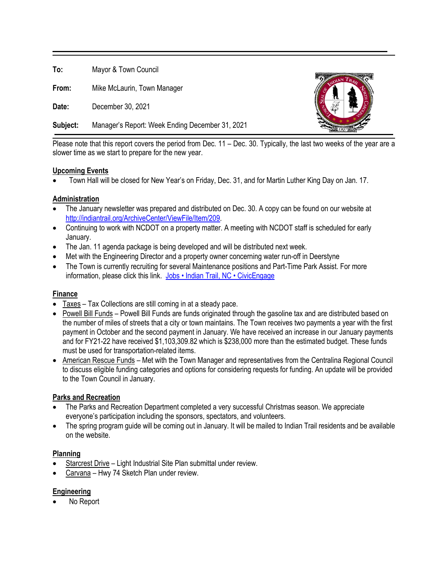**To:** Mayor & Town Council

**From:** Mike McLaurin, Town Manager

**Date:** December 30, 2021

**Subject:** Manager's Report: Week Ending December 31, 2021



Please note that this report covers the period from Dec. 11 – Dec. 30. Typically, the last two weeks of the year are a slower time as we start to prepare for the new year.

### **Upcoming Events**

• Town Hall will be closed for New Year's on Friday, Dec. 31, and for Martin Luther King Day on Jan. 17.

### **Administration**

- The January newsletter was prepared and distributed on Dec. 30. A copy can be found on our website at [http://indiantrail.org/ArchiveCenter/ViewFile/Item/209.](http://indiantrail.org/ArchiveCenter/ViewFile/Item/209)
- Continuing to work with NCDOT on a property matter. A meeting with NCDOT staff is scheduled for early January.
- The Jan. 11 agenda package is being developed and will be distributed next week.
- Met with the Engineering Director and a property owner concerning water run-off in Deerstyne
- The Town is currently recruiting for several Maintenance positions and Part-Time Park Assist. For more information, please click this link. [Jobs • Indian Trail, NC • CivicEngage](https://indiantrail.org/Jobs.aspx)

## **Finance**

- Taxes Tax Collections are still coming in at a steady pace.
- Powell Bill Funds Powell Bill Funds are funds originated through the gasoline tax and are distributed based on the number of miles of streets that a city or town maintains. The Town receives two payments a year with the first payment in October and the second payment in January. We have received an increase in our January payments and for FY21-22 have received \$1,103,309.82 which is \$238,000 more than the estimated budget. These funds must be used for transportation-related items.
- American Rescue Funds Met with the Town Manager and representatives from the Centralina Regional Council to discuss eligible funding categories and options for considering requests for funding. An update will be provided to the Town Council in January.

# **Parks and Recreation**

- The Parks and Recreation Department completed a very successful Christmas season. We appreciate everyone's participation including the sponsors, spectators, and volunteers.
- The spring program guide will be coming out in January. It will be mailed to Indian Trail residents and be available on the website.

### **Planning**

- Starcrest Drive Light Industrial Site Plan submittal under review.
- Carvana Hwy 74 Sketch Plan under review.

### **Engineering**

No Report